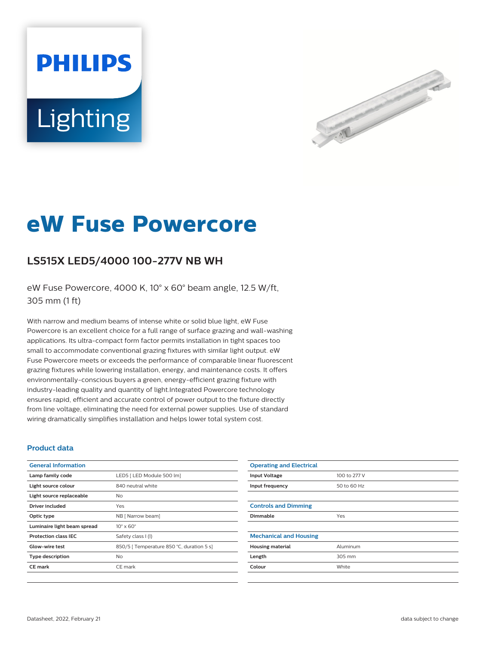# **PHILIPS** Lighting



## **eW Fuse Powercore**

### **LS515X LED5/4000 100-277V NB WH**

eW Fuse Powercore, 4000 K, 10° x 60° beam angle, 12.5 W/ft, 305 mm (1 ft)

With narrow and medium beams of intense white or solid blue light, eW Fuse Powercore is an excellent choice for a full range of surface grazing and wall-washing applications. Its ultra-compact form factor permits installation in tight spaces too small to accommodate conventional grazing fixtures with similar light output. eW Fuse Powercore meets or exceeds the performance of comparable linear fluorescent grazing fixtures while lowering installation, energy, and maintenance costs. It offers environmentally-conscious buyers a green, energy-efficient grazing fixture with industry-leading quality and quantity of light.Integrated Powercore technology ensures rapid, efficient and accurate control of power output to the fixture directly from line voltage, eliminating the need for external power supplies. Use of standard wiring dramatically simplifies installation and helps lower total system cost.

#### **Product data**

| <b>General Information</b>  |                                           |
|-----------------------------|-------------------------------------------|
| Lamp family code            | LED5   LED Module 500 lm]                 |
| Light source colour         | 840 neutral white                         |
| Light source replaceable    | N <sub>o</sub>                            |
| Driver included             | Yes                                       |
| Optic type                  | NB [ Narrow beam]                         |
| Luminaire light beam spread | $10^{\circ} \times 60^{\circ}$            |
| <b>Protection class IEC</b> | Safety class I (I)                        |
| Glow-wire test              | 850/5   Temperature 850 °C, duration 5 s] |
| <b>Type description</b>     | N <sub>o</sub>                            |
| <b>CE</b> mark              | CE mark                                   |
|                             |                                           |

| <b>Operating and Electrical</b> |              |
|---------------------------------|--------------|
| <b>Input Voltage</b>            | 100 to 277 V |
| Input frequency                 | 50 to 60 Hz  |
|                                 |              |
| <b>Controls and Dimming</b>     |              |
| Dimmable                        | Yes          |
|                                 |              |
| <b>Mechanical and Housing</b>   |              |
| <b>Housing material</b>         | Aluminum     |
| Length                          | 305 mm       |
| Colour                          | White        |
|                                 |              |